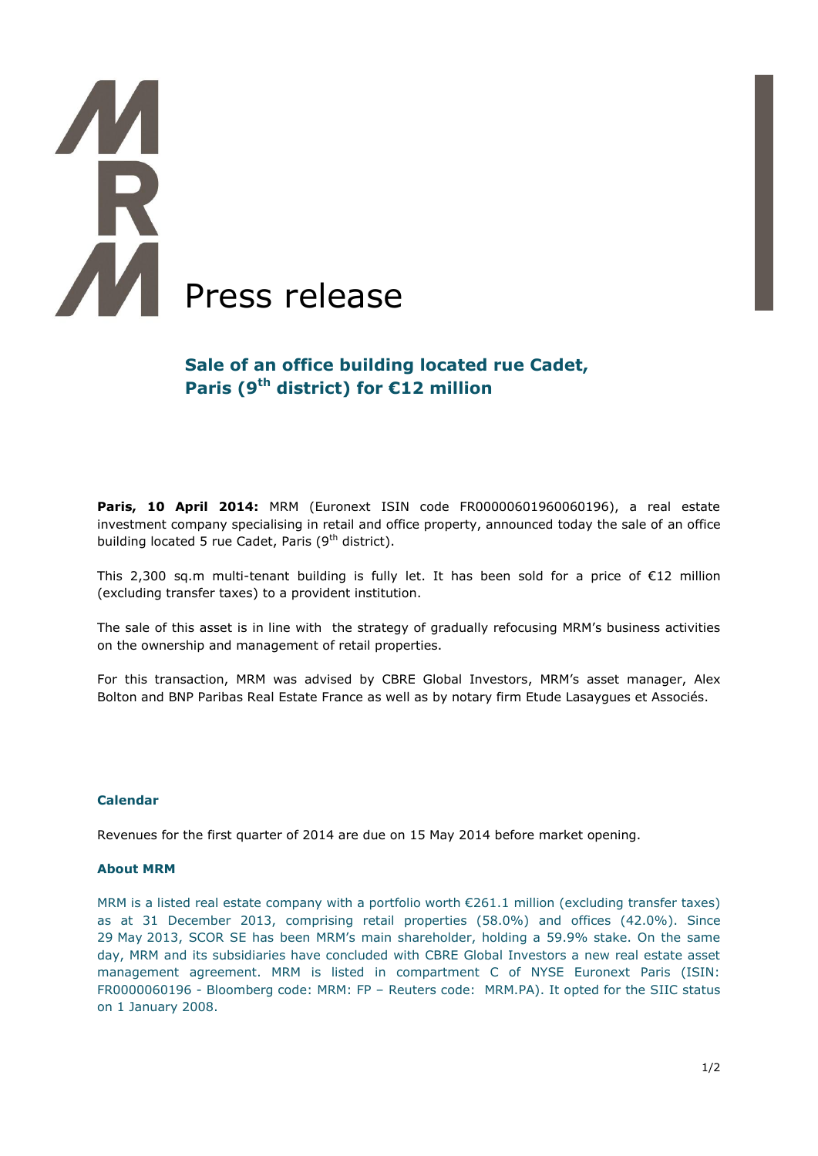# **AR** AM Press release

# **Sale of an office building located rue Cadet, Paris (9 th district) for €12 million**

**Paris, 10 April 2014:** MRM (Euronext ISIN code FR00000601960060196), a real estate investment company specialising in retail and office property, announced today the sale of an office building located 5 rue Cadet, Paris (9<sup>th</sup> district).

This 2,300 sq.m multi-tenant building is fully let. It has been sold for a price of  $\epsilon$ 12 million (excluding transfer taxes) to a provident institution.

The sale of this asset is in line with the strategy of gradually refocusing MRM's business activities on the ownership and management of retail properties.

For this transaction, MRM was advised by CBRE Global Investors, MRM's asset manager, Alex Bolton and BNP Paribas [Real Estate France](http://www.realestate.bnpparibas.fr/) as well as by notary firm Etude Lasaygues et Associés.

### **Calendar**

Revenues for the first quarter of 2014 are due on 15 May 2014 before market opening.

### **About MRM**

MRM is a listed real estate company with a portfolio worth €261.1 million (excluding transfer taxes) as at 31 December 2013, comprising retail properties (58.0%) and offices (42.0%). Since 29 May 2013, SCOR SE has been MRM's main shareholder, holding a 59.9% stake. On the same day, MRM and its subsidiaries have concluded with CBRE Global Investors a new real estate asset management agreement. MRM is listed in compartment C of NYSE Euronext Paris (ISIN: FR0000060196 - Bloomberg code: MRM: FP – Reuters code: MRM.PA). It opted for the SIIC status on 1 January 2008.